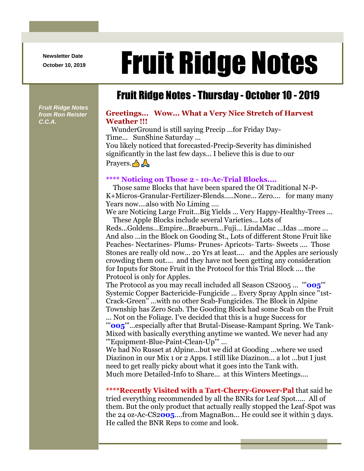**Newsletter Date**

# Newsletter Date **Fruit Ridge Notes**

## Fruit Ridge Notes - Thursday - October 10 - 2019

*Fruit Ridge Notes from Ron Reister C.C.A.*

#### **Greetings... Wow... What a Very Nice Stretch of Harvest Weather !!!**

WunderGround is still saying Precip ...for Friday Day-Time... SunShine Saturday ... You likely noticed that forecasted-Precip-Severity has diminished significantly in the last few days... I believe this is due to our Prayers.  $\triangle$ 

#### **\*\*\*\* Noticing on Those 2 - 10-Ac-Trial Blocks....**

Those same Blocks that have been spared the Ol Traditional N-P-K+Micros-Granular-Fertilizer-Blends.....None... Zero.... for many many Years now....also with No Liming ....

We are Noticing Large Fruit...Big Yields ... Very Happy-Healthy-Trees ... These Apple Blocks include several Varieties... Lots of

Reds...Goldens...Empire...Braeburn...Fuji... LindaMac ...Idas ...more ... And also ...in the Block on Gooding St., Lots of different Stone Fruit like Peaches- Nectarines- Plums- Prunes- Apricots- Tarts- Sweets .... Those Stones are really old now... 20 Yrs at least.... and the Apples are seriously crowding them out.... and they have not been getting any consideration for Inputs for Stone Fruit in the Protocol for this Trial Block .... the Protocol is only for Apples.

The Protocol as you may recall included all Season CS2005 ... '''**005**''' Systemic Copper Bactericide-Fungicide ... Every Spray Appln since ''1st-Crack-Green'' ...with no other Scab-Fungicides. The Block in Alpine Township has Zero Scab. The Gooding Block had some Scab on the Fruit

... Not on the Foliage. I've decided that this is a huge Success for '''**005**'''...especially after that Brutal-Disease-Rampant Spring. We Tank-Mixed with basically everything anytime we wanted. We never had any '''Equipment-Blue-Paint-Clean-Up''' ...

We had No Russet at Alpine...but we did at Gooding ...where we used Diazinon in our Mix 1 or 2 Apps. I still like Diazinon... a lot ...but I just need to get really picky about what it goes into the Tank with. Much more Detailed-Info to Share... at this Winters Meetings....

**\*\*\*\*Recently Visited with a Tart-Cherry-Grower-Pal** that said he tried everything recommended by all the BNRs for Leaf Spot..... All of them. But the only product that actually really stopped the Leaf-Spot was the 24 oz-Ac-CS2**005**....from MagnaBon... He could see it within 3 days. He called the BNR Reps to come and look.